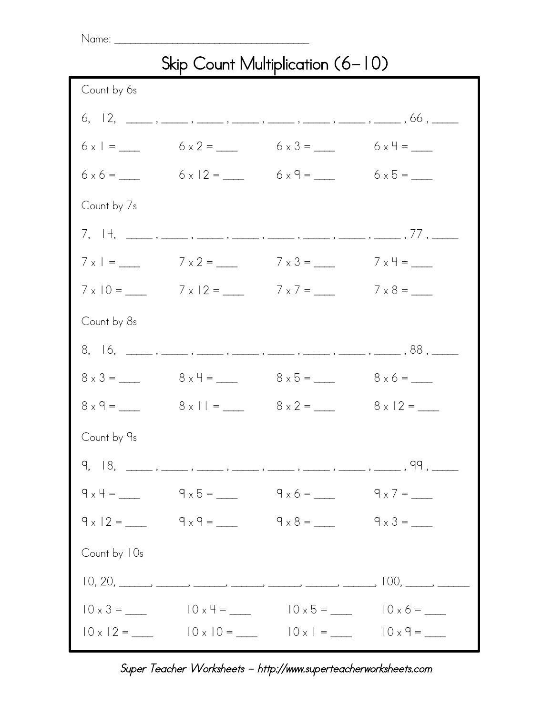## $Name: \_$ Skip Count Multiplication (6-10) Count by 6s 6, 12, \_\_\_\_\_ , \_\_\_\_\_ , \_\_\_\_\_ , \_\_\_\_\_ , \_\_\_\_\_ , \_\_\_\_\_ , \_\_\_\_\_ , \_\_\_\_\_ , 66 , \_\_\_\_\_  $6 \times 1 =$  6  $\times 2 =$  6  $\times 3 =$  6  $\times 4 =$  6  $\times$  $6 \times 6 =$  6 x 12 = 6 x 9 = 6 x 5 = 6 x 5 =  $\frac{6 \times 6}{2 \times 6 \times 6}$ Count by 7s  $7, 14, \underline{\hspace{1cm}}, \underline{\hspace{1cm}}, \underline{\hspace{1cm}}, \underline{\hspace{1cm}}, \underline{\hspace{1cm}}, \underline{\hspace{1cm}}, \underline{\hspace{1cm}}, \underline{\hspace{1cm}}, \underline{\hspace{1cm}}, \underline{\hspace{1cm}}, \underline{\hspace{1cm}}, \underline{\hspace{1cm}}, \underline{\hspace{1cm}}, \underline{\hspace{1cm}}, \underline{\hspace{1cm}}, \underline{\hspace{1cm}}$  $7 \times 1 = 7 \times 2 = 7 \times 3 = 7 \times 4 =$  $7 \times 10 =$  7  $\times 12 =$  7  $\times 7 =$  7  $\times 8 =$  7 Count by 8s  $8, 16, \_\_$ ,  $\_\_$ ,  $\_\_$ ,  $\_\_$ ,  $\_\_$ ,  $\_\_$ ,  $\_\_$ ,  $\_\_$ ,  $\_\_$ ,  $\_\_$ ,  $\_\_$ ,  $\_\_$ ,  $\_\_$ ,  $\_\_$ ,  $\_\_$ ,  $\_\_$ ,  $\_\_$ ,  $\_\_$  $8 \times 3 = 8 \times 4 = 8 \times 5 = 8 \times 6 =$  $8 \times 9 = 8 \times 11 = 8 \times 2 = 8 \times 12 =$ Count by 9s  $9, 18, \underline{\hspace{1cm}}, \underline{\hspace{1cm}}, \underline{\hspace{1cm}}, \underline{\hspace{1cm}}, \underline{\hspace{1cm}}, \underline{\hspace{1cm}}, \underline{\hspace{1cm}}, \underline{\hspace{1cm}}, \underline{\hspace{1cm}}, \underline{\hspace{1cm}}, \underline{\hspace{1cm}}, \underline{\hspace{1cm}}, \underline{\hspace{1cm}}, \underline{\hspace{1cm}}, \underline{\hspace{1cm}}, \underline{\hspace{1cm}}, \underline{\hspace{1cm}}, \underline{\hspace{1cm}}, \underline{\hspace{1cm}}, \underline{\hspace{1cm}}, \underline{\hspace{1cm}}, \underline{\hspace{1cm}}, \underline{\hspace{1cm}}, \underline{\hspace{1$  $9 \times 4 = 9 \times 5 = 9 \times 6 = 9 \times 7 =$  $9 \times 12 = 9 \times 9 = 9 \times 8 = 9 \times 3 =$ Count by 10s  $10, 20, \_\_$ , \_\_\_\_\_, \_\_\_\_, \_\_\_\_, \_\_\_\_, \_\_\_\_, \_\_\_\_, \_\_\_\_, \_\_\_, 100, \_\_\_\_, \_\_\_  $10 \times 3 = 10 \times 4 = 10 \times 5 = 10 \times 6 =$

## Super Teacher Worksheets - http://www.superteacherworksheets.com

 $10 \times 12 =$   $10 \times 10 =$   $10 \times 1 =$   $10 \times 9 =$   $10 \times 9 =$